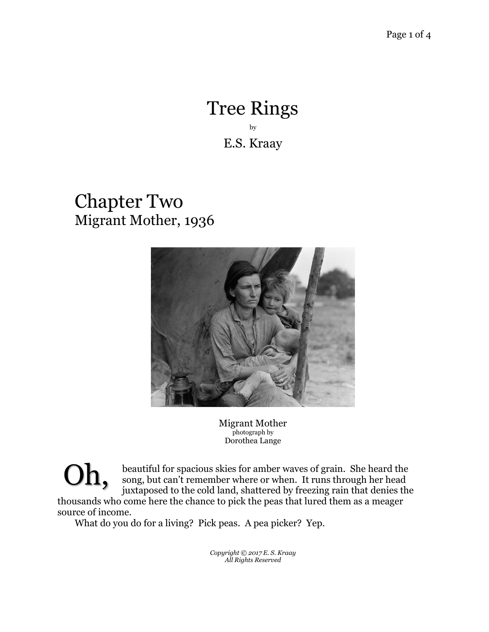## Tree Rings by E.S. Kraay

## Chapter Two Migrant Mother, 1936



Migrant Mother photograph by Dorothea Lange

beautiful for spacious skies for amber waves of grain. She heard the song, but can't remember where or when. It runs through her head juxtaposed to the cold land, shattered by freezing rain that denies the thousands who come here the chance to pick the peas that lured them as a meager source of income. Oh,

What do you do for a living? Pick peas. A pea picker? Yep.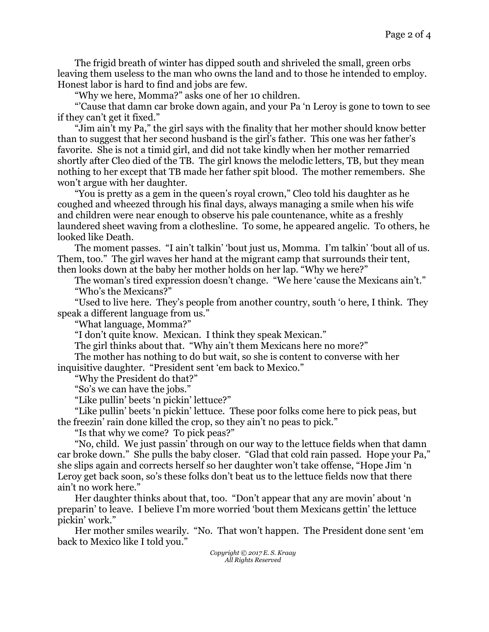The frigid breath of winter has dipped south and shriveled the small, green orbs leaving them useless to the man who owns the land and to those he intended to employ. Honest labor is hard to find and jobs are few.

"Why we here, Momma?" asks one of her 10 children.

"'Cause that damn car broke down again, and your Pa 'n Leroy is gone to town to see if they can't get it fixed."

"Jim ain't my Pa," the girl says with the finality that her mother should know better than to suggest that her second husband is the girl's father. This one was her father's favorite. She is not a timid girl, and did not take kindly when her mother remarried shortly after Cleo died of the TB. The girl knows the melodic letters, TB, but they mean nothing to her except that TB made her father spit blood. The mother remembers. She won't argue with her daughter.

"You is pretty as a gem in the queen's royal crown," Cleo told his daughter as he coughed and wheezed through his final days, always managing a smile when his wife and children were near enough to observe his pale countenance, white as a freshly laundered sheet waving from a clothesline. To some, he appeared angelic. To others, he looked like Death.

The moment passes. "I ain't talkin' 'bout just us, Momma. I'm talkin' 'bout all of us. Them, too." The girl waves her hand at the migrant camp that surrounds their tent, then looks down at the baby her mother holds on her lap. "Why we here?"

The woman's tired expression doesn't change. "We here 'cause the Mexicans ain't." "Who's the Mexicans?"

"Used to live here. They's people from another country, south 'o here, I think. They speak a different language from us."

"What language, Momma?"

"I don't quite know. Mexican. I think they speak Mexican."

The girl thinks about that. "Why ain't them Mexicans here no more?"

The mother has nothing to do but wait, so she is content to converse with her inquisitive daughter. "President sent 'em back to Mexico."

"Why the President do that?"

"So's we can have the jobs."

"Like pullin' beets 'n pickin' lettuce?"

"Like pullin' beets 'n pickin' lettuce. These poor folks come here to pick peas, but the freezin' rain done killed the crop, so they ain't no peas to pick."

"Is that why we come? To pick peas?"

"No, child. We just passin' through on our way to the lettuce fields when that damn car broke down." She pulls the baby closer. "Glad that cold rain passed. Hope your Pa," she slips again and corrects herself so her daughter won't take offense, "Hope Jim 'n Leroy get back soon, so's these folks don't beat us to the lettuce fields now that there ain't no work here."

Her daughter thinks about that, too. "Don't appear that any are movin' about 'n preparin' to leave. I believe I'm more worried 'bout them Mexicans gettin' the lettuce pickin' work."

Her mother smiles wearily. "No. That won't happen. The President done sent 'em back to Mexico like I told you."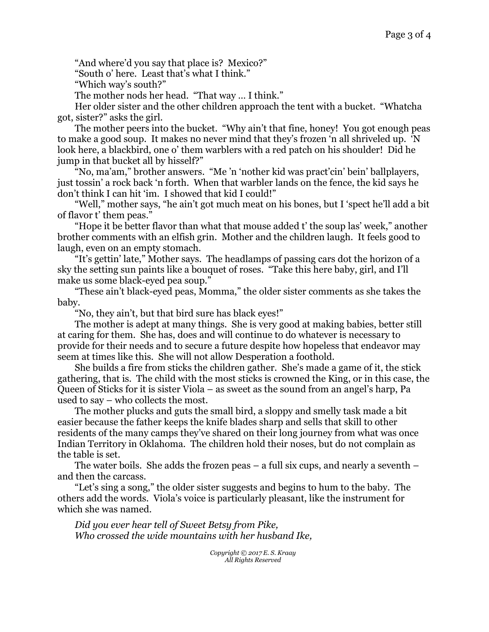"And where'd you say that place is? Mexico?"

"South o' here. Least that's what I think."

"Which way's south?"

The mother nods her head. "That way … I think."

Her older sister and the other children approach the tent with a bucket. "Whatcha got, sister?" asks the girl.

The mother peers into the bucket. "Why ain't that fine, honey! You got enough peas to make a good soup. It makes no never mind that they's frozen 'n all shriveled up. 'N look here, a blackbird, one o' them warblers with a red patch on his shoulder! Did he jump in that bucket all by hisself?"

"No, ma'am," brother answers. "Me 'n 'nother kid was pract'cin' bein' ballplayers, just tossin' a rock back 'n forth. When that warbler lands on the fence, the kid says he don't think I can hit 'im. I showed that kid I could!"

"Well," mother says, "he ain't got much meat on his bones, but I 'spect he'll add a bit of flavor t' them peas."

"Hope it be better flavor than what that mouse added t' the soup las' week," another brother comments with an elfish grin. Mother and the children laugh. It feels good to laugh, even on an empty stomach.

"It's gettin' late," Mother says. The headlamps of passing cars dot the horizon of a sky the setting sun paints like a bouquet of roses. "Take this here baby, girl, and I'll make us some black-eyed pea soup."

"These ain't black-eyed peas, Momma," the older sister comments as she takes the baby.

"No, they ain't, but that bird sure has black eyes!"

The mother is adept at many things. She is very good at making babies, better still at caring for them. She has, does and will continue to do whatever is necessary to provide for their needs and to secure a future despite how hopeless that endeavor may seem at times like this. She will not allow Desperation a foothold.

She builds a fire from sticks the children gather. She's made a game of it, the stick gathering, that is. The child with the most sticks is crowned the King, or in this case, the Queen of Sticks for it is sister Viola – as sweet as the sound from an angel's harp, Pa used to say – who collects the most.

The mother plucks and guts the small bird, a sloppy and smelly task made a bit easier because the father keeps the knife blades sharp and sells that skill to other residents of the many camps they've shared on their long journey from what was once Indian Territory in Oklahoma. The children hold their noses, but do not complain as the table is set.

The water boils. She adds the frozen peas  $-$  a full six cups, and nearly a seventh  $$ and then the carcass.

"Let's sing a song," the older sister suggests and begins to hum to the baby. The others add the words. Viola's voice is particularly pleasant, like the instrument for which she was named.

*Did you ever hear tell of Sweet Betsy from Pike, Who crossed the wide mountains with her husband Ike,*